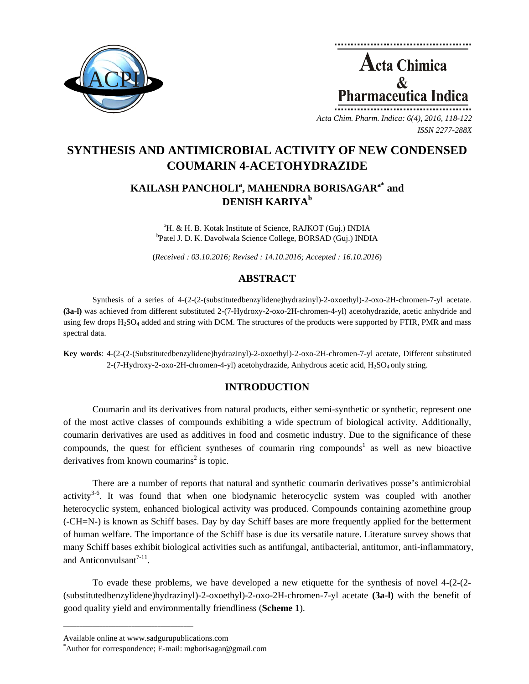

**Acta Chimica**  $\mathcal{R}_{\mathcal{L}}$ **Pharmaceutica Ind** 

*Acta Chim. Pharm. Indica: 6(4), 2016, 118-122 ISSN 2277-288X*

# **SYNTHESIS AND ANTIMICROBIAL ACTIVITY OF NEW CONDENSED COUMARIN 4-ACETOHYDRAZIDE**

# KAILASH PANCHOLI<sup>a</sup>, MAHENDRA BORISAGAR<sup>a\*</sup> and **DENISH KARIYAb**

<sup>a</sup>H. & H. B. Kotak Institute of Science, RAJKOT (Guj.) INDIA <sup>b</sup>Patel J. D. K. Davolwala Science College, BORSAD (Guj.) INDIA

(*Received : 03.10.2016; Revised : 14.10.2016; Accepted : 16.10.2016*)

# **ABSTRACT**

Synthesis of a series of 4-(2-(2-(substitutedbenzylidene)hydrazinyl)-2-oxoethyl)-2-oxo-2H-chromen-7-yl acetate. **(3a-l)** was achieved from different substituted 2-(7-Hydroxy-2-oxo-2H-chromen-4-yl) acetohydrazide, acetic anhydride and using few drops  $H_2SO_4$  added and string with DCM. The structures of the products were supported by FTIR, PMR and mass spectral data.

**Key words**: 4-(2-(2-(Substitutedbenzylidene)hydrazinyl)-2-oxoethyl)-2-oxo-2H-chromen-7-yl acetate, Different substituted 2-(7-Hydroxy-2-oxo-2H-chromen-4-yl) acetohydrazide, Anhydrous acetic acid, H<sub>2</sub>SO<sub>4</sub> only string.

# **INTRODUCTION**

Coumarin and its derivatives from natural products, either semi-synthetic or synthetic, represent one of the most active classes of compounds exhibiting a wide spectrum of biological activity. Additionally, coumarin derivatives are used as additives in food and cosmetic industry. Due to the significance of these compounds, the quest for efficient syntheses of coumarin ring compounds<sup>1</sup> as well as new bioactive derivatives from known coumarins<sup>2</sup> is topic.

There are a number of reports that natural and synthetic coumarin derivatives posse's antimicrobial activity<sup>3-6</sup>. It was found that when one biodynamic heterocyclic system was coupled with another heterocyclic system, enhanced biological activity was produced. Compounds containing azomethine group (-CH=N-) is known as Schiff bases. Day by day Schiff bases are more frequently applied for the betterment of human welfare. The importance of the Schiff base is due its versatile nature. Literature survey shows that many Schiff bases exhibit biological activities such as antifungal, antibacterial, antitumor, anti-inflammatory, and Anticonvulsant $^{7-11}$ .

To evade these problems, we have developed a new etiquette for the synthesis of novel 4-(2-(2- (substitutedbenzylidene)hydrazinyl)-2-oxoethyl)-2-oxo-2H-chromen-7-yl acetate **(3a-l)** with the benefit of good quality yield and environmentally friendliness (**Scheme 1**).

**\_\_\_\_\_\_\_\_\_\_\_\_\_\_\_\_\_\_\_\_\_\_\_\_\_\_\_\_\_\_\_\_\_\_\_\_\_\_\_\_**

Available online at www.sadgurupublications.com \*

Author for correspondence; E-mail: mgborisagar@gmail.com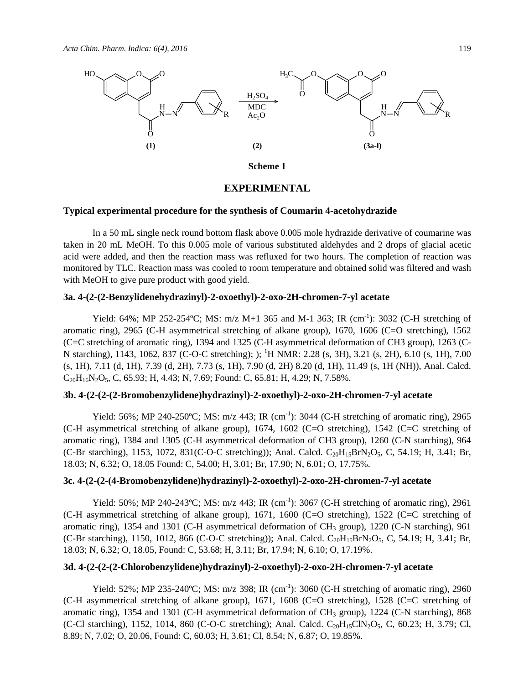

#### **Scheme 1**

## **EXPERIMENTAL**

## **Typical experimental procedure for the synthesis of Coumarin 4-acetohydrazide**

In a 50 mL single neck round bottom flask above 0.005 mole hydrazide derivative of coumarine was taken in 20 mL MeOH. To this 0.005 mole of various substituted aldehydes and 2 drops of glacial acetic acid were added, and then the reaction mass was refluxed for two hours. The completion of reaction was monitored by TLC. Reaction mass was cooled to room temperature and obtained solid was filtered and wash with MeOH to give pure product with good yield.

# **3a. 4-(2-(2-Benzylidenehydrazinyl)-2-oxoethyl)-2-oxo-2H-chromen-7-yl acetate**

Yield: 64%; MP 252-254°C; MS: m/z M+1 365 and M-1 363; IR (cm<sup>-1</sup>): 3032 (C-H stretching of aromatic ring), 2965 (C-H asymmetrical stretching of alkane group), 1670, 1606 (C=O stretching), 1562 (C=C stretching of aromatic ring), 1394 and 1325 (C-H asymmetrical deformation of CH3 group), 1263 (C-N starching), 1143, 1062, 837 (C-O-C stretching); ); <sup>1</sup>H NMR: 2.28 (s, 3H), 3.21 (s, 2H), 6.10 (s, 1H), 7.00 (s, 1H), 7.11 (d, 1H), 7.39 (d, 2H), 7.73 (s, 1H), 7.90 (d, 2H) 8.20 (d, 1H), 11.49 (s, 1H (NH)), Anal. Calcd.  $C_{20}H_{16}N_2O_5$ , C, 65.93; H, 4.43; N, 7.69; Found: C, 65.81; H, 4.29; N, 7.58%.

## **3b. 4-(2-(2-(2-Bromobenzylidene)hydrazinyl)-2-oxoethyl)-2-oxo-2H-chromen-7-yl acetate**

Yield: 56%; MP 240-250°C; MS: m/z 443; IR (cm<sup>-1</sup>): 3044 (C-H stretching of aromatic ring), 2965 (C-H asymmetrical stretching of alkane group), 1674, 1602 (C=O stretching), 1542 (C=C stretching of aromatic ring), 1384 and 1305 (C-H asymmetrical deformation of CH3 group), 1260 (C-N starching), 964 (C-Br starching), 1153, 1072, 831(C-O-C stretching)); Anal. Calcd.  $C_{20}H_{15}BrN_2O_5$ , C, 54.19; H, 3.41; Br, 18.03; N, 6.32; O, 18.05 Found: C, 54.00; H, 3.01; Br, 17.90; N, 6.01; O, 17.75%.

### **3c. 4-(2-(2-(4-Bromobenzylidene)hydrazinyl)-2-oxoethyl)-2-oxo-2H-chromen-7-yl acetate**

Yield: 50%; MP 240-243°C; MS: m/z 443; IR (cm<sup>-1</sup>): 3067 (C-H stretching of aromatic ring), 2961 (C-H asymmetrical stretching of alkane group), 1671, 1600 (C=O stretching), 1522 (C=C stretching of aromatic ring), 1354 and 1301 (C-H asymmetrical deformation of  $CH_3$  group), 1220 (C-N starching), 961 (C-Br starching), 1150, 1012, 866 (C-O-C stretching)); Anal. Calcd.  $C_{20}H_{15}BrN_2O_5$ , C, 54.19; H, 3.41; Br, 18.03; N, 6.32; O, 18.05, Found: C, 53.68; H, 3.11; Br, 17.94; N, 6.10; O, 17.19%.

# **3d. 4-(2-(2-(2-Chlorobenzylidene)hydrazinyl)-2-oxoethyl)-2-oxo-2H-chromen-7-yl acetate**

Yield: 52%; MP 235-240°C; MS: m/z 398; IR  $(\text{cm}^{-1})$ : 3060 (C-H stretching of aromatic ring), 2960 (C-H asymmetrical stretching of alkane group), 1671, 1608 (C=O stretching), 1528 (C=C stretching of aromatic ring), 1354 and 1301 (C-H asymmetrical deformation of CH<sub>3</sub> group), 1224 (C-N starching), 868 (C-Cl starching), 1152, 1014, 860 (C-O-C stretching); Anal. Calcd.  $C_{20}H_{15}CIN_2O_5$ , C, 60.23; H, 3.79; Cl, 8.89; N, 7.02; O, 20.06, Found: C, 60.03; H, 3.61; Cl, 8.54; N, 6.87; O, 19.85%.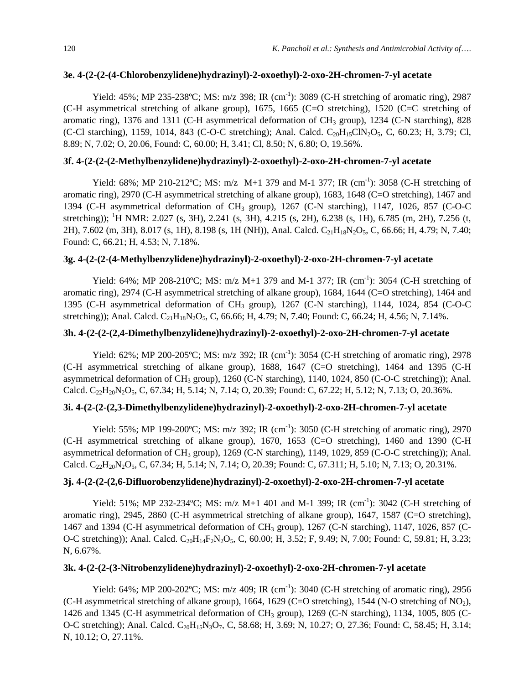#### **3e. 4-(2-(2-(4-Chlorobenzylidene)hydrazinyl)-2-oxoethyl)-2-oxo-2H-chromen-7-yl acetate**

Yield:  $45\%$ ; MP 235-238°C; MS: m/z 398; IR (cm<sup>-1</sup>): 3089 (C-H stretching of aromatic ring), 2987 (C-H asymmetrical stretching of alkane group), 1675, 1665 (C=O stretching), 1520 (C=C stretching of aromatic ring), 1376 and 1311 (C-H asymmetrical deformation of  $CH_3$  group), 1234 (C-N starching), 828 (C-Cl starching), 1159, 1014, 843 (C-O-C stretching); Anal. Calcd.  $C_{20}H_{15}CIN_2O_5$ , C, 60.23; H, 3.79; Cl, 8.89; N, 7.02; O, 20.06, Found: C, 60.00; H, 3.41; Cl, 8.50; N, 6.80; O, 19.56%.

# **3f. 4-(2-(2-(2-Methylbenzylidene)hydrazinyl)-2-oxoethyl)-2-oxo-2H-chromen-7-yl acetate**

Yield: 68%; MP 210-212°C; MS:  $m/z$  M+1 379 and M-1 377; IR (cm<sup>-1</sup>): 3058 (C-H stretching of aromatic ring), 2970 (C-H asymmetrical stretching of alkane group), 1683, 1648 (C=O stretching), 1467 and 1394 (C-H asymmetrical deformation of CH<sub>3</sub> group), 1267 (C-N starching), 1147, 1026, 857 (C-O-C stretching)); <sup>1</sup>H NMR: 2.027 (s, 3H), 2.241 (s, 3H), 4.215 (s, 2H), 6.238 (s, 1H), 6.785 (m, 2H), 7.256 (t, 2H), 7.602 (m, 3H), 8.017 (s, 1H), 8.198 (s, 1H (NH)), Anal. Calcd. C<sub>21</sub>H<sub>18</sub>N<sub>2</sub>O<sub>5</sub>, C, 66.66; H, 4.79; N, 7.40; Found: C, 66.21; H, 4.53; N, 7.18%.

## **3g. 4-(2-(2-(4-Methylbenzylidene)hydrazinyl)-2-oxoethyl)-2-oxo-2H-chromen-7-yl acetate**

Yield: 64%; MP 208-210°C; MS:  $m/z$  M+1 379 and M-1 377; IR (cm<sup>-1</sup>): 3054 (C-H stretching of aromatic ring), 2974 (C-H asymmetrical stretching of alkane group), 1684, 1644 (C=O stretching), 1464 and 1395 (C-H asymmetrical deformation of CH<sub>3</sub> group), 1267 (C-N starching), 1144, 1024, 854 (C-O-C stretching)); Anal. Calcd.  $C_{21}H_{18}N_2O_5$ , C, 66.66; H, 4.79; N, 7.40; Found: C, 66.24; H, 4.56; N, 7.14%.

## **3h. 4-(2-(2-(2,4-Dimethylbenzylidene)hydrazinyl)-2-oxoethyl)-2-oxo-2H-chromen-7-yl acetate**

Yield: 62%; MP 200-205°C; MS: m/z 392; IR (cm<sup>-1</sup>): 3054 (C-H stretching of aromatic ring), 2978 (C-H asymmetrical stretching of alkane group), 1688, 1647 (C=O stretching), 1464 and 1395 (C-H asymmetrical deformation of CH<sub>3</sub> group), 1260 (C-N starching), 1140, 1024, 850 (C-O-C stretching)); Anal. Calcd.  $C_{22}H_{20}N_2O_5$ , C, 67.34; H, 5.14; N, 7.14; O, 20.39; Found: C, 67.22; H, 5.12; N, 7.13; O, 20.36%.

# **3i. 4-(2-(2-(2,3-Dimethylbenzylidene)hydrazinyl)-2-oxoethyl)-2-oxo-2H-chromen-7-yl acetate**

Yield: 55%; MP 199-200°C; MS: m/z 392; IR (cm<sup>-1</sup>): 3050 (C-H stretching of aromatic ring), 2970 (C-H asymmetrical stretching of alkane group), 1670, 1653 (C=O stretching), 1460 and 1390 (C-H asymmetrical deformation of  $CH_3$  group), 1269 (C-N starching), 1149, 1029, 859 (C-O-C stretching)); Anal. Calcd.  $C_{22}H_{20}N_2O_5$ , C, 67.34; H, 5.14; N, 7.14; O, 20.39; Found: C, 67.311; H, 5.10; N, 7.13; O, 20.31%.

# **3j. 4-(2-(2-(2,6-Difluorobenzylidene)hydrazinyl)-2-oxoethyl)-2-oxo-2H-chromen-7-yl acetate**

Yield: 51%; MP 232-234°C; MS:  $m/z$  M+1 401 and M-1 399; IR (cm<sup>-1</sup>): 3042 (C-H stretching of aromatic ring), 2945, 2860 (C-H asymmetrical stretching of alkane group), 1647, 1587 (C=O stretching), 1467 and 1394 (C-H asymmetrical deformation of CH<sub>3</sub> group), 1267 (C-N starching), 1147, 1026, 857 (C-O-C stretching)); Anal. Calcd. C<sub>20</sub>H<sub>14</sub>F<sub>2</sub>N<sub>2</sub>O<sub>5</sub>, C, 60.00; H, 3.52; F, 9.49; N, 7.00; Found: C, 59.81; H, 3.23; N, 6.67%.

## **3k. 4-(2-(2-(3-Nitrobenzylidene)hydrazinyl)-2-oxoethyl)-2-oxo-2H-chromen-7-yl acetate**

Yield: 64%; MP 200-202°C; MS: m/z 409; IR (cm<sup>-1</sup>): 3040 (C-H stretching of aromatic ring), 2956 (C-H asymmetrical stretching of alkane group), 1664, 1629 (C=O stretching), 1544 (N-O stretching of NO<sub>2</sub>), 1426 and 1345 (C-H asymmetrical deformation of CH<sub>3</sub> group), 1269 (C-N starching), 1134, 1005, 805 (C-O-C stretching); Anal. Calcd. C<sub>20</sub>H<sub>15</sub>N<sub>3</sub>O<sub>7</sub>, C, 58.68; H, 3.69; N, 10.27; O, 27.36; Found: C, 58.45; H, 3.14; N, 10.12; O, 27.11%.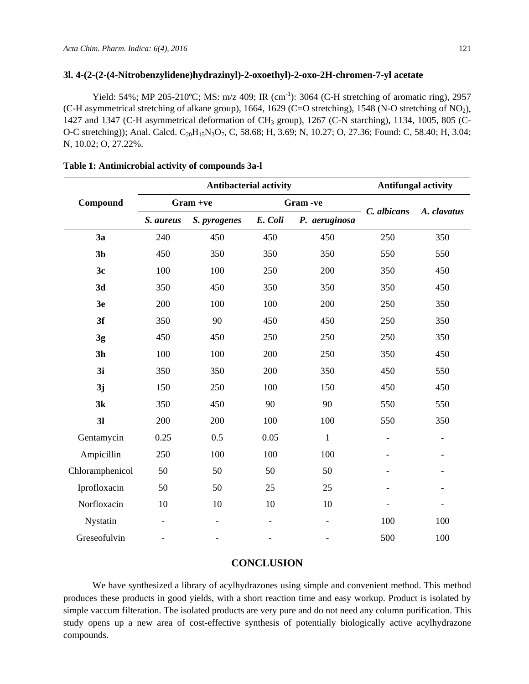#### **3l. 4-(2-(2-(4-Nitrobenzylidene)hydrazinyl)-2-oxoethyl)-2-oxo-2H-chromen-7-yl acetate**

Yield: 54%; MP 205-210°C; MS: m/z 409; IR (cm<sup>-1</sup>): 3064 (C-H stretching of aromatic ring), 2957 (C-H asymmetrical stretching of alkane group), 1664, 1629 (C=O stretching), 1548 (N-O stretching of NO<sub>2</sub>), 1427 and 1347 (C-H asymmetrical deformation of CH3 group), 1267 (C-N starching), 1134, 1005, 805 (C-O-C stretching)); Anal. Calcd. C<sub>20</sub>H<sub>15</sub>N<sub>3</sub>O<sub>7</sub>, C, 58.68; H, 3.69; N, 10.27; O, 27.36; Found: C, 58.40; H, 3.04; N, 10.02; O, 27.22%.

| Compound        | <b>Antibacterial activity</b> |                          |         |                          | <b>Antifungal activity</b> |                          |
|-----------------|-------------------------------|--------------------------|---------|--------------------------|----------------------------|--------------------------|
|                 | Gram +ve                      |                          | Gram-ve |                          |                            |                          |
|                 | S. aureus                     | S. pyrogenes             | E. Coli | P. aeruginosa            | C. albicans                | A. clavatus              |
| 3a              | 240                           | 450                      | 450     | 450                      | 250                        | 350                      |
| 3 <sub>b</sub>  | 450                           | 350                      | 350     | 350                      | 550                        | 550                      |
| 3c              | 100                           | 100                      | 250     | 200                      | 350                        | 450                      |
| 3d              | 350                           | 450                      | 350     | 350                      | 350                        | 450                      |
| 3e              | 200                           | 100                      | 100     | 200                      | 250                        | 350                      |
| 3f              | 350                           | 90                       | 450     | 450                      | 250                        | 350                      |
| 3g              | 450                           | 450                      | 250     | 250                      | 250                        | 350                      |
| 3 <sub>h</sub>  | 100                           | 100                      | 200     | 250                      | 350                        | 450                      |
| 3i              | 350                           | 350                      | 200     | 350                      | 450                        | 550                      |
| 3j              | 150                           | 250                      | 100     | 150                      | 450                        | 450                      |
| 3k              | 350                           | 450                      | 90      | 90                       | 550                        | 550                      |
| 3 <sub>l</sub>  | 200                           | 200                      | 100     | 100                      | 550                        | 350                      |
| Gentamycin      | 0.25                          | 0.5                      | 0.05    | $\mathbf{1}$             | $\overline{\phantom{0}}$   |                          |
| Ampicillin      | 250                           | 100                      | 100     | 100                      | $\overline{\phantom{0}}$   | $\overline{\phantom{0}}$ |
| Chloramphenicol | 50                            | 50                       | 50      | 50                       |                            |                          |
| Iprofloxacin    | 50                            | 50                       | 25      | 25                       |                            |                          |
| Norfloxacin     | 10                            | 10                       | 10      | 10                       |                            |                          |
| Nystatin        | $\overline{\phantom{a}}$      | $\overline{\phantom{a}}$ |         | $\overline{\phantom{0}}$ | 100                        | 100                      |
| Greseofulvin    |                               |                          |         |                          | 500                        | 100                      |

### **Table 1: Antimicrobial activity of compounds 3a-l**

## **CONCLUSION**

We have synthesized a library of acylhydrazones using simple and convenient method. This method produces these products in good yields, with a short reaction time and easy workup. Product is isolated by simple vaccum filteration. The isolated products are very pure and do not need any column purification. This study opens up a new area of cost-effective synthesis of potentially biologically active acylhydrazone compounds.